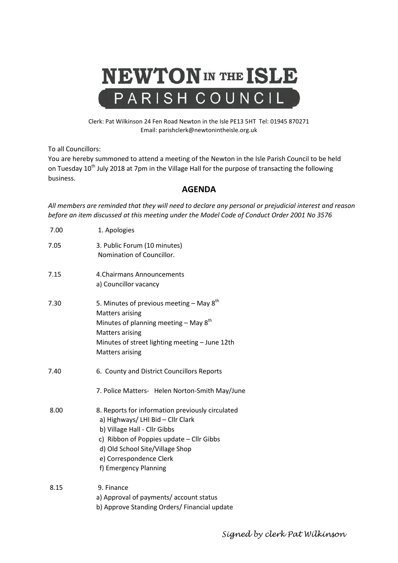

Clerk: Pat Wilkinson 24 Fen Road Newton in the Isle PE13 5HT Tel: 01945 870271 Email: parishclerk@newtonintheisle.org.uk

To all Councillors:

You are hereby summoned to attend a meeting of the Newton in the Isle Parish Council to be held on Tuesday 10<sup>th</sup> July 2018 at 7pm in the Village Hall for the purpose of transacting the following business.

## **AGENDA**

*All members are reminded that they will need to declare any personal or prejudicial interest and reason before an item discussed at this meeting under the Model Code of Conduct Order 2001 No 3576*

| 7.00 | 1. Apologies                                                                                                                                                                                                                                             |
|------|----------------------------------------------------------------------------------------------------------------------------------------------------------------------------------------------------------------------------------------------------------|
| 7.05 | 3. Public Forum (10 minutes)<br>Nomination of Councillor.                                                                                                                                                                                                |
| 7.15 | 4. Chairmans Announcements<br>a) Councillor vacancy                                                                                                                                                                                                      |
| 7.30 | 5. Minutes of previous meeting $-$ May 8 <sup>th</sup><br><b>Matters arising</b><br>Minutes of planning meeting $-$ May $8^{th}$<br><b>Matters arising</b><br>Minutes of street lighting meeting - June 12th<br><b>Matters arising</b>                   |
| 7.40 | 6. County and District Councillors Reports<br>7. Police Matters- Helen Norton-Smith May/June                                                                                                                                                             |
| 8.00 | 8. Reports for information previously circulated<br>a) Highways/ LHI Bid - Cllr Clark<br>b) Village Hall - Cllr Gibbs<br>c) Ribbon of Poppies update - Cllr Gibbs<br>d) Old School Site/Village Shop<br>e) Correspondence Clerk<br>f) Emergency Planning |
| 8.15 | 9. Finance<br>a) Approval of payments/account status<br>b) Approve Standing Orders/ Financial update                                                                                                                                                     |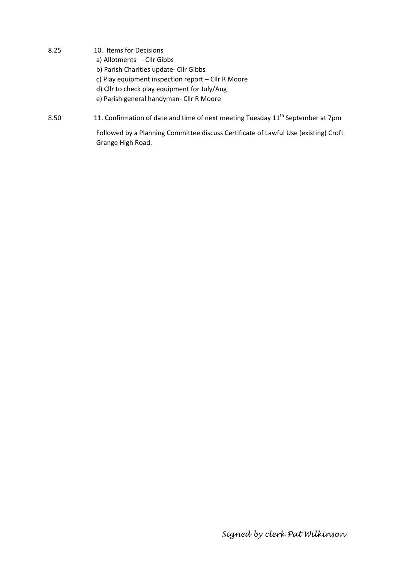- 8.25 10. Items for Decisions a) Allotments - Cllr Gibbs b) Parish Charities update- Cllr Gibbs c) Play equipment inspection report – Cllr R Moore d) Cllr to check play equipment for July/Aug e) Parish general handyman- Cllr R Moore
- 8.50 11. Confirmation of date and time of next meeting Tuesday 11<sup>th</sup> September at 7pm

Followed by a Planning Committee discuss Certificate of Lawful Use (existing) Croft Grange High Road.